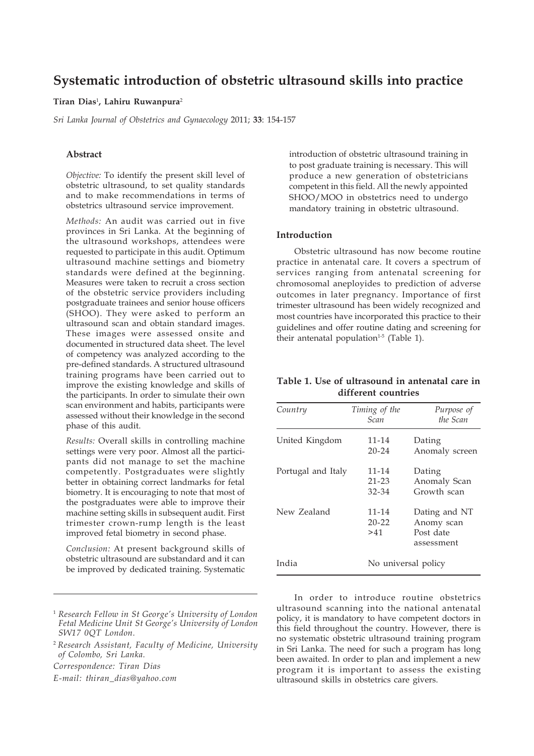# **Systematic introduction of obstetric ultrasound skills into practice**

#### **Tiran Dias**<sup>1</sup> **, Lahiru Ruwanpura**<sup>2</sup>

*Sri Lanka Journal of Obstetrics and Gynaecology* 2011; **33**: 154-157

## **Abstract**

*Objective:* To identify the present skill level of obstetric ultrasound, to set quality standards and to make recommendations in terms of obstetrics ultrasound service improvement.

*Methods:* An audit was carried out in five provinces in Sri Lanka. At the beginning of the ultrasound workshops, attendees were requested to participate in this audit. Optimum ultrasound machine settings and biometry standards were defined at the beginning. Measures were taken to recruit a cross section of the obstetric service providers including postgraduate trainees and senior house officers (SHOO). They were asked to perform an ultrasound scan and obtain standard images. These images were assessed onsite and documented in structured data sheet. The level of competency was analyzed according to the pre-defined standards. A structured ultrasound training programs have been carried out to improve the existing knowledge and skills of the participants. In order to simulate their own scan environment and habits, participants were assessed without their knowledge in the second phase of this audit.

*Results:* Overall skills in controlling machine settings were very poor. Almost all the participants did not manage to set the machine competently. Postgraduates were slightly better in obtaining correct landmarks for fetal biometry. It is encouraging to note that most of the postgraduates were able to improve their machine setting skills in subsequent audit. First trimester crown-rump length is the least improved fetal biometry in second phase.

*Conclusion:* At present background skills of obstetric ultrasound are substandard and it can be improved by dedicated training. Systematic

*Correspondence: Tiran Dias*

*E-mail: thiran\_dias@yahoo.com*

introduction of obstetric ultrasound training in to post graduate training is necessary. This will produce a new generation of obstetricians competent in this field. All the newly appointed SHOO/MOO in obstetrics need to undergo mandatory training in obstetric ultrasound.

## **Introduction**

Obstetric ultrasound has now become routine practice in antenatal care. It covers a spectrum of services ranging from antenatal screening for chromosomal aneployides to prediction of adverse outcomes in later pregnancy. Importance of first trimester ultrasound has been widely recognized and most countries have incorporated this practice to their guidelines and offer routine dating and screening for their antenatal population<sup>1-5</sup> (Table 1).

## **Table 1. Use of ultrasound in antenatal care in different countries**

| Country            | Timing of the<br>Scan           | Purpose of<br>the Scan                                 |
|--------------------|---------------------------------|--------------------------------------------------------|
| United Kingdom     | $11 - 14$<br>$20 - 24$          | Dating<br>Anomaly screen                               |
| Portugal and Italy | $11 - 14$<br>$21 - 23$<br>32-34 | Dating<br>Anomaly Scan<br>Growth scan                  |
| New Zealand        | $11 - 14$<br>$20 - 22$<br>>41   | Dating and NT<br>Anomy scan<br>Post date<br>assessment |
| India              | No universal policy             |                                                        |

In order to introduce routine obstetrics ultrasound scanning into the national antenatal policy, it is mandatory to have competent doctors in this field throughout the country. However, there is no systematic obstetric ultrasound training program in Sri Lanka. The need for such a program has long been awaited. In order to plan and implement a new program it is important to assess the existing ultrasound skills in obstetrics care givers.

<sup>1</sup> *Research Fellow in St George's University of London Fetal Medicine Unit St George's University of London SW17 0QT London.*

<sup>2</sup>*Research Assistant, Faculty of Medicine, University of Colombo, Sri Lanka.*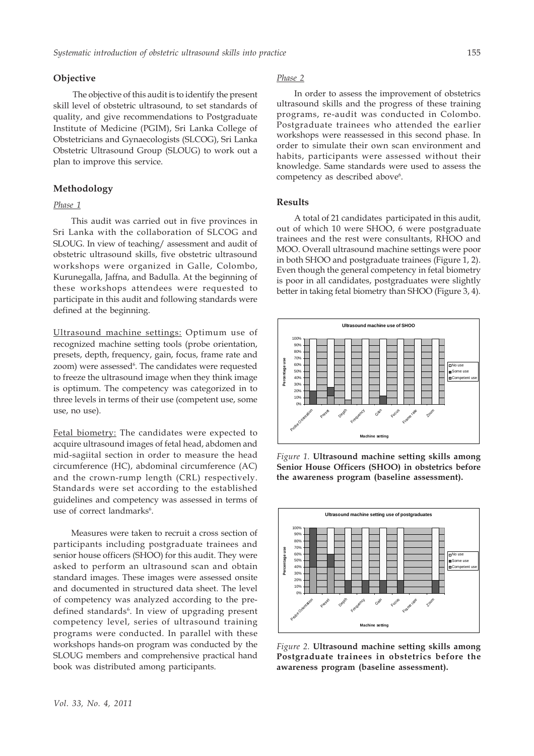## **Objective**

 The objective of this audit is to identify the present skill level of obstetric ultrasound, to set standards of quality, and give recommendations to Postgraduate Institute of Medicine (PGIM), Sri Lanka College of Obstetricians and Gynaecologists (SLCOG), Sri Lanka Obstetric Ultrasound Group (SLOUG) to work out a plan to improve this service.

#### **Methodology**

## *Phase 1*

This audit was carried out in five provinces in Sri Lanka with the collaboration of SLCOG and SLOUG. In view of teaching/ assessment and audit of obstetric ultrasound skills, five obstetric ultrasound workshops were organized in Galle, Colombo, Kurunegalla, Jaffna, and Badulla. At the beginning of these workshops attendees were requested to participate in this audit and following standards were defined at the beginning.

Ultrasound machine settings: Optimum use of recognized machine setting tools (probe orientation, presets, depth, frequency, gain, focus, frame rate and zoom) were assessed<sup>6</sup>. The candidates were requested to freeze the ultrasound image when they think image is optimum. The competency was categorized in to three levels in terms of their use (competent use, some use, no use).

Fetal biometry: The candidates were expected to acquire ultrasound images of fetal head, abdomen and mid-sagiital section in order to measure the head circumference (HC), abdominal circumference (AC) and the crown-rump length (CRL) respectively. Standards were set according to the established guidelines and competency was assessed in terms of use of correct landmarks<sup>6</sup>.

Measures were taken to recruit a cross section of participants including postgraduate trainees and senior house officers (SHOO) for this audit. They were asked to perform an ultrasound scan and obtain standard images. These images were assessed onsite and documented in structured data sheet. The level of competency was analyzed according to the predefined standards<sup>6</sup>. In view of upgrading present competency level, series of ultrasound training programs were conducted. In parallel with these workshops hands-on program was conducted by the SLOUG members and comprehensive practical hand book was distributed among participants.

## *Phase 2*

In order to assess the improvement of obstetrics ultrasound skills and the progress of these training programs, re-audit was conducted in Colombo. Postgraduate trainees who attended the earlier workshops were reassessed in this second phase. In order to simulate their own scan environment and habits, participants were assessed without their knowledge. Same standards were used to assess the competency as described above<sup>6</sup>.

#### **Results**

A total of 21 candidates participated in this audit, out of which 10 were SHOO, 6 were postgraduate trainees and the rest were consultants, RHOO and MOO. Overall ultrasound machine settings were poor in both SHOO and postgraduate trainees (Figure 1, 2). Even though the general competency in fetal biometry is poor in all candidates, postgraduates were slightly better in taking fetal biometry than SHOO (Figure 3, 4).



*Figure 1.* **Ultrasound machine setting skills among Senior House Officers (SHOO) in obstetrics before the awareness program (baseline assessment).**



*Figure 2.* **Ultrasound machine setting skills among Postgraduate trainees in obstetrics before the awareness program (baseline assessment).**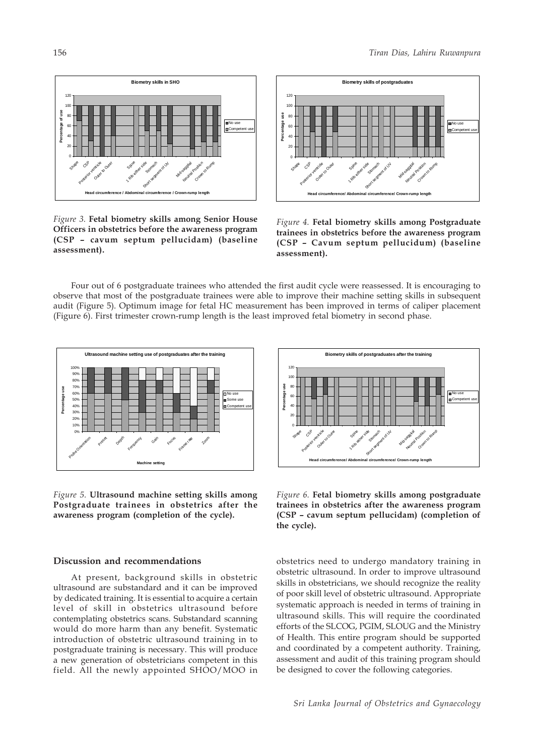

*Figure 3.* **Fetal biometry skills among Senior House Officers in obstetrics before the awareness program (CSP – cavum septum pellucidam) (baseline assessment).**



*Figure 4.* **Fetal biometry skills among Postgraduate trainees in obstetrics before the awareness program (CSP – Cavum septum pellucidum) (baseline assessment).**

Four out of 6 postgraduate trainees who attended the first audit cycle were reassessed. It is encouraging to observe that most of the postgraduate trainees were able to improve their machine setting skills in subsequent audit (Figure 5). Optimum image for fetal HC measurement has been improved in terms of caliper placement (Figure 6). First trimester crown-rump length is the least improved fetal biometry in second phase.



*Figure 5.* **Ultrasound machine setting skills among Postgraduate trainees in obstetrics after the awareness program (completion of the cycle).**

#### **Discussion and recommendations**

At present, background skills in obstetric ultrasound are substandard and it can be improved by dedicated training. It is essential to acquire a certain level of skill in obstetrics ultrasound before contemplating obstetrics scans. Substandard scanning would do more harm than any benefit. Systematic introduction of obstetric ultrasound training in to postgraduate training is necessary. This will produce a new generation of obstetricians competent in this field. All the newly appointed SHOO/MOO in



*Figure 6.* **Fetal biometry skills among postgraduate trainees in obstetrics after the awareness program (CSP – cavum septum pellucidam) (completion of the cycle).**

obstetrics need to undergo mandatory training in obstetric ultrasound. In order to improve ultrasound skills in obstetricians, we should recognize the reality of poor skill level of obstetric ultrasound. Appropriate systematic approach is needed in terms of training in ultrasound skills. This will require the coordinated efforts of the SLCOG, PGIM, SLOUG and the Ministry of Health. This entire program should be supported and coordinated by a competent authority. Training, assessment and audit of this training program should be designed to cover the following categories.